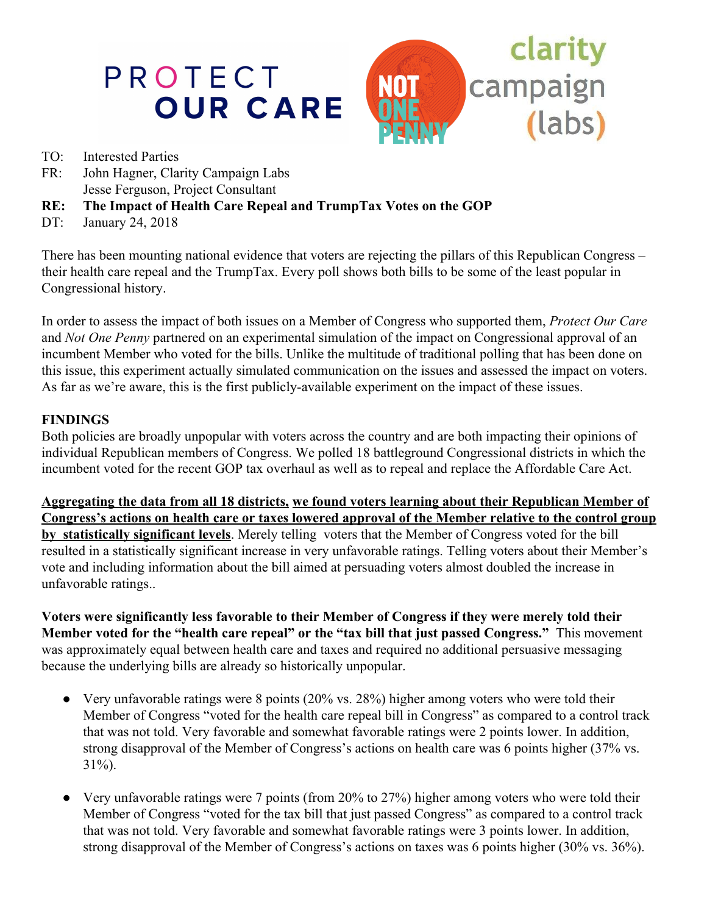

- TO: Interested Parties
- FR: John Hagner, Clarity Campaign Labs Jesse Ferguson, Project Consultant
- **RE: The Impact of Health Care Repeal and TrumpTax Votes on the GOP**
- DT: January 24, 2018

There has been mounting national evidence that voters are rejecting the pillars of this Republican Congress – their health care repeal and the TrumpTax. Every poll shows both bills to be some of the least popular in Congressional history.

In order to assess the impact of both issues on a Member of Congress who supported them, *Protect Our Care* and *Not One Penny* partnered on an experimental simulation of the impact on Congressional approval of an incumbent Member who voted for the bills. Unlike the multitude of traditional polling that has been done on this issue, this experiment actually simulated communication on the issues and assessed the impact on voters. As far as we're aware, this is the first publicly-available experiment on the impact of these issues.

## **FINDINGS**

Both policies are broadly unpopular with voters across the country and are both impacting their opinions of individual Republican members of Congress. We polled 18 battleground Congressional districts in which the incumbent voted for the recent GOP tax overhaul as well as to repeal and replace the Affordable Care Act.

**Aggregating the data from all 18 districts, we found voters learning about their Republican Member of Congress's actions on health care or taxes lowered approval of the Member relative to the control group by statistically significant levels**. Merely telling voters that the Member of Congress voted for the bill resulted in a statistically significant increase in very unfavorable ratings. Telling voters about their Member's vote and including information about the bill aimed at persuading voters almost doubled the increase in unfavorable ratings..

**Voters were significantly less favorable to their Member of Congress if they were merely told their Member voted for the "health care repeal" or the "tax bill that just passed Congress."** This movement was approximately equal between health care and taxes and required no additional persuasive messaging because the underlying bills are already so historically unpopular.

- Very unfavorable ratings were 8 points (20% vs. 28%) higher among voters who were told their Member of Congress "voted for the health care repeal bill in Congress" as compared to a control track that was not told. Very favorable and somewhat favorable ratings were 2 points lower. In addition, strong disapproval of the Member of Congress's actions on health care was 6 points higher (37% vs. 31%).
- Very unfavorable ratings were 7 points (from 20% to 27%) higher among voters who were told their Member of Congress "voted for the tax bill that just passed Congress" as compared to a control track that was not told. Very favorable and somewhat favorable ratings were 3 points lower. In addition, strong disapproval of the Member of Congress's actions on taxes was 6 points higher (30% vs. 36%).